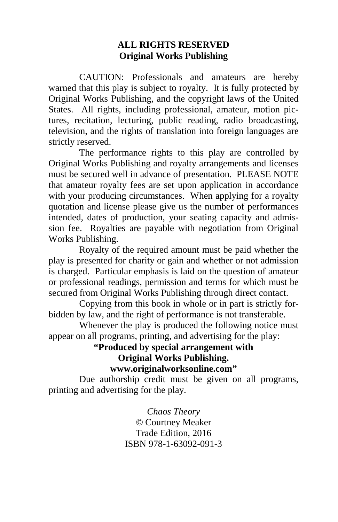#### **ALL RIGHTS RESERVED Original Works Publishing**

 CAUTION: Professionals and amateurs are hereby warned that this play is subject to royalty. It is fully protected by Original Works Publishing, and the copyright laws of the United States. All rights, including professional, amateur, motion pictures, recitation, lecturing, public reading, radio broadcasting, television, and the rights of translation into foreign languages are strictly reserved.

 The performance rights to this play are controlled by Original Works Publishing and royalty arrangements and licenses must be secured well in advance of presentation. PLEASE NOTE that amateur royalty fees are set upon application in accordance with your producing circumstances. When applying for a royalty quotation and license please give us the number of performances intended, dates of production, your seating capacity and admission fee. Royalties are payable with negotiation from Original Works Publishing.

 Royalty of the required amount must be paid whether the play is presented for charity or gain and whether or not admission is charged. Particular emphasis is laid on the question of amateur or professional readings, permission and terms for which must be secured from Original Works Publishing through direct contact.

 Copying from this book in whole or in part is strictly forbidden by law, and the right of performance is not transferable.

 Whenever the play is produced the following notice must appear on all programs, printing, and advertising for the play:

#### **"Produced by special arrangement with Original Works Publishing. www.originalworksonline.com"**

 Due authorship credit must be given on all programs, printing and advertising for the play.

> *Chaos Theory ©* Courtney Meaker Trade Edition, 2016 ISBN 978-1-63092-091-3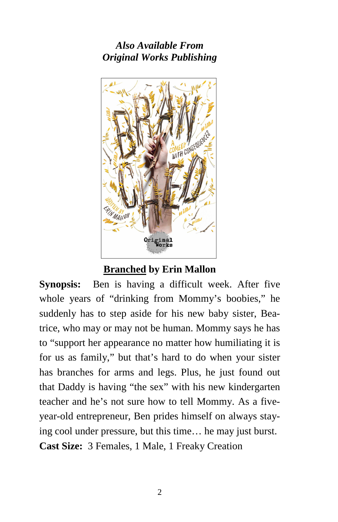*Also Available From Original Works Publishing* 



**Branched by Erin Mallon** 

**Synopsis:** Ben is having a difficult week. After five whole years of "drinking from Mommy's boobies," he suddenly has to step aside for his new baby sister, Beatrice, who may or may not be human. Mommy says he has to "support her appearance no matter how humiliating it is for us as family," but that's hard to do when your sister has branches for arms and legs. Plus, he just found out that Daddy is having "the sex" with his new kindergarten teacher and he's not sure how to tell Mommy. As a fiveyear-old entrepreneur, Ben prides himself on always staying cool under pressure, but this time… he may just burst. **Cast Size:** 3 Females, 1 Male, 1 Freaky Creation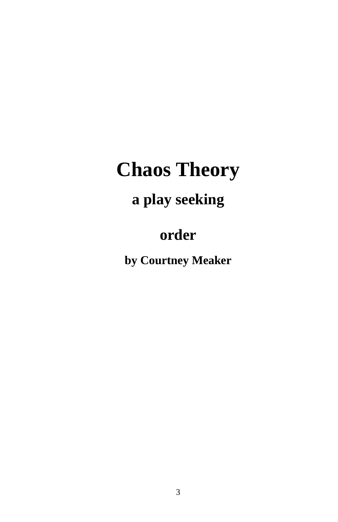# **Chaos Theory**

## **a play seeking**

### **order**

**by Courtney Meaker**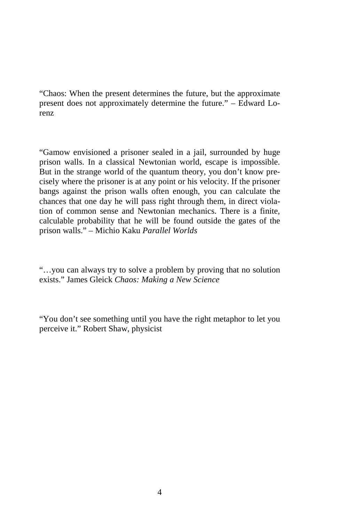"Chaos: When the present determines the future, but the approximate present does not approximately determine the future." – Edward Lorenz

"Gamow envisioned a prisoner sealed in a jail, surrounded by huge prison walls. In a classical Newtonian world, escape is impossible. But in the strange world of the quantum theory, you don't know precisely where the prisoner is at any point or his velocity. If the prisoner bangs against the prison walls often enough, you can calculate the chances that one day he will pass right through them, in direct violation of common sense and Newtonian mechanics. There is a finite, calculable probability that he will be found outside the gates of the prison walls." – Michio Kaku *Parallel Worlds*

"…you can always try to solve a problem by proving that no solution exists." James Gleick *Chaos: Making a New Science*

"You don't see something until you have the right metaphor to let you perceive it." Robert Shaw, physicist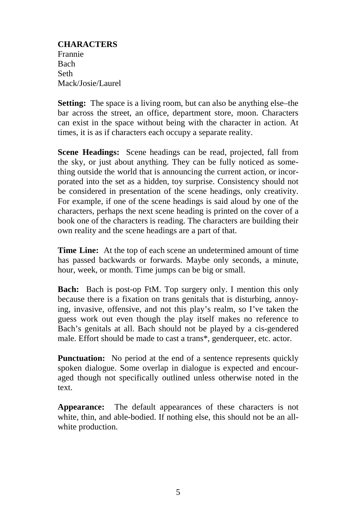**CHARACTERS**  Frannie Bach Seth Mack/Josie/Laurel

**Setting:** The space is a living room, but can also be anything else–the bar across the street, an office, department store, moon. Characters can exist in the space without being with the character in action. At times, it is as if characters each occupy a separate reality.

**Scene Headings:** Scene headings can be read, projected, fall from the sky, or just about anything. They can be fully noticed as something outside the world that is announcing the current action, or incorporated into the set as a hidden, toy surprise. Consistency should not be considered in presentation of the scene headings, only creativity. For example, if one of the scene headings is said aloud by one of the characters, perhaps the next scene heading is printed on the cover of a book one of the characters is reading. The characters are building their own reality and the scene headings are a part of that.

**Time Line:** At the top of each scene an undetermined amount of time has passed backwards or forwards. Maybe only seconds, a minute, hour, week, or month. Time jumps can be big or small.

**Bach:** Bach is post-op FtM. Top surgery only. I mention this only because there is a fixation on trans genitals that is disturbing, annoying, invasive, offensive, and not this play's realm, so I've taken the guess work out even though the play itself makes no reference to Bach's genitals at all. Bach should not be played by a cis-gendered male. Effort should be made to cast a trans\*, genderqueer, etc. actor.

**Punctuation:** No period at the end of a sentence represents quickly spoken dialogue. Some overlap in dialogue is expected and encouraged though not specifically outlined unless otherwise noted in the text.

**Appearance:** The default appearances of these characters is not white, thin, and able-bodied. If nothing else, this should not be an allwhite production.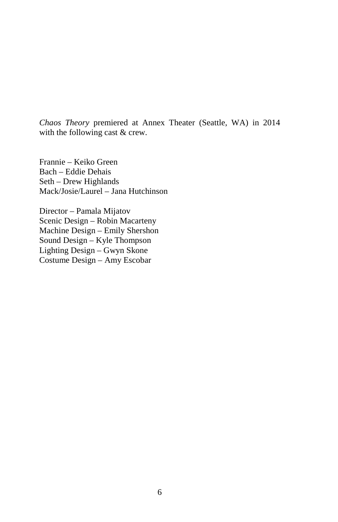*Chaos Theory* premiered at Annex Theater (Seattle, WA) in 2014 with the following cast & crew.

Frannie – Keiko Green Bach – Eddie Dehais Seth – Drew Highlands Mack/Josie/Laurel – Jana Hutchinson

Director – Pamala Mijatov Scenic Design – Robin Macarteny Machine Design – Emily Shershon Sound Design – Kyle Thompson Lighting Design – Gwyn Skone Costume Design – Amy Escobar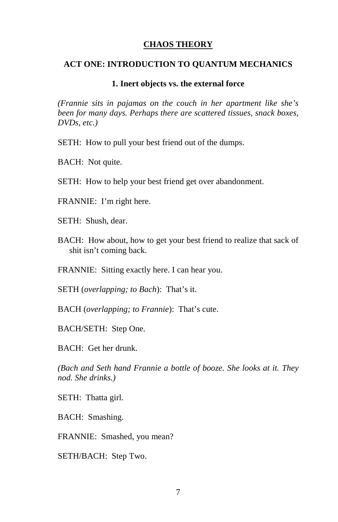#### **CHAOS THEORY**

#### **ACT ONE: INTRODUCTION TO QUANTUM MECHANICS**

#### **1. Inert objects vs. the external force**

*(Frannie sits in pajamas on the couch in her apartment like she's been for many days. Perhaps there are scattered tissues, snack boxes, DVDs, etc.)* 

SETH: How to pull your best friend out of the dumps.

BACH: Not quite.

SETH: How to help your best friend get over abandonment.

FRANNIE: I'm right here.

SETH: Shush, dear.

BACH: How about, how to get your best friend to realize that sack of shit isn't coming back.

FRANNIE: Sitting exactly here. I can hear you.

SETH (*overlapping; to Bach*): That's it.

BACH (*overlapping; to Frannie*): That's cute.

BACH/SETH: Step One.

BACH: Get her drunk.

*(Bach and Seth hand Frannie a bottle of booze. She looks at it. They nod. She drinks.)* 

SETH: Thatta girl.

BACH: Smashing.

FRANNIE: Smashed, you mean?

SETH/BACH: Step Two.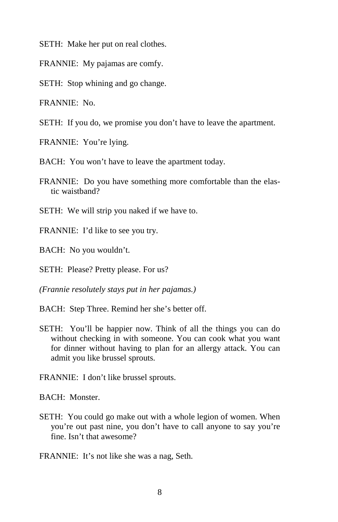SETH: Make her put on real clothes.

FRANNIE: My pajamas are comfy.

SETH: Stop whining and go change.

FRANNIE: No.

SETH: If you do, we promise you don't have to leave the apartment.

FRANNIE: You're lying.

BACH: You won't have to leave the apartment today.

FRANNIE: Do you have something more comfortable than the elastic waistband?

SETH: We will strip you naked if we have to.

FRANNIE: I'd like to see you try.

BACH: No you wouldn't.

SETH: Please? Pretty please. For us?

*(Frannie resolutely stays put in her pajamas.)* 

BACH: Step Three. Remind her she's better off.

- SETH: You'll be happier now. Think of all the things you can do without checking in with someone. You can cook what you want for dinner without having to plan for an allergy attack. You can admit you like brussel sprouts.
- FRANNIE: I don't like brussel sprouts.

BACH: Monster.

SETH: You could go make out with a whole legion of women. When you're out past nine, you don't have to call anyone to say you're fine. Isn't that awesome?

FRANNIE: It's not like she was a nag, Seth.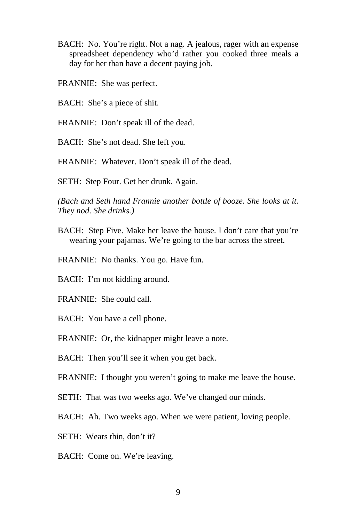- BACH: No. You're right. Not a nag. A jealous, rager with an expense spreadsheet dependency who'd rather you cooked three meals a day for her than have a decent paying job.
- FRANNIE: She was perfect.
- BACH: She's a piece of shit.
- FRANNIE: Don't speak ill of the dead.
- BACH: She's not dead. She left you.

FRANNIE: Whatever. Don't speak ill of the dead.

SETH: Step Four. Get her drunk. Again.

*(Bach and Seth hand Frannie another bottle of booze. She looks at it. They nod. She drinks.)* 

- BACH: Step Five. Make her leave the house. I don't care that you're wearing your pajamas. We're going to the bar across the street.
- FRANNIE: No thanks. You go. Have fun.
- BACH: I'm not kidding around.
- FRANNIE: She could call.
- BACH: You have a cell phone.
- FRANNIE: Or, the kidnapper might leave a note.

BACH: Then you'll see it when you get back.

FRANNIE: I thought you weren't going to make me leave the house.

- SETH: That was two weeks ago. We've changed our minds.
- BACH: Ah. Two weeks ago. When we were patient, loving people.
- SETH: Wears thin, don't it?
- BACH: Come on. We're leaving.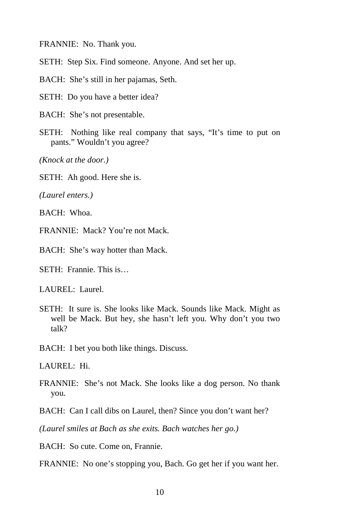FRANNIE: No. Thank you.

SETH: Step Six. Find someone. Anyone. And set her up.

BACH: She's still in her pajamas, Seth.

SETH: Do you have a better idea?

BACH: She's not presentable.

SETH: Nothing like real company that says, "It's time to put on pants." Wouldn't you agree?

*(Knock at the door.)* 

SETH: Ah good. Here she is.

*(Laurel enters.)* 

BACH: Whoa.

FRANNIE: Mack? You're not Mack.

BACH: She's way hotter than Mack.

SETH: Frannie. This is…

LAUREL: Laurel.

SETH: It sure is. She looks like Mack. Sounds like Mack. Might as well be Mack. But hey, she hasn't left you. Why don't you two talk?

BACH: I bet you both like things. Discuss.

LAUREL: Hi.

FRANNIE: She's not Mack. She looks like a dog person. No thank you.

BACH: Can I call dibs on Laurel, then? Since you don't want her?

*(Laurel smiles at Bach as she exits. Bach watches her go.)* 

BACH: So cute. Come on, Frannie.

FRANNIE: No one's stopping you, Bach. Go get her if you want her.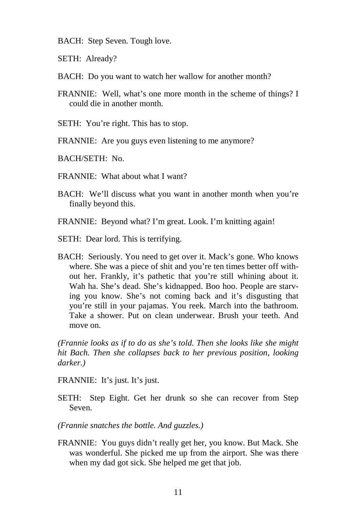- BACH: Step Seven. Tough love.
- SETH: Already?
- BACH: Do you want to watch her wallow for another month?
- FRANNIE: Well, what's one more month in the scheme of things? I could die in another month.
- SETH: You're right. This has to stop.
- FRANNIE: Are you guys even listening to me anymore?
- BACH/SETH: No.
- FRANNIE: What about what I want?
- BACH: We'll discuss what you want in another month when you're finally beyond this.
- FRANNIE: Beyond what? I'm great. Look. I'm knitting again!
- SETH: Dear lord. This is terrifying.
- BACH: Seriously. You need to get over it. Mack's gone. Who knows where. She was a piece of shit and you're ten times better off without her. Frankly, it's pathetic that you're still whining about it. Wah ha. She's dead. She's kidnapped. Boo hoo. People are starving you know. She's not coming back and it's disgusting that you're still in your pajamas. You reek. March into the bathroom. Take a shower. Put on clean underwear. Brush your teeth. And move on.

*(Frannie looks as if to do as she's told. Then she looks like she might hit Bach. Then she collapses back to her previous position, looking darker.)* 

FRANNIE: It's just. It's just.

SETH: Step Eight. Get her drunk so she can recover from Step Seven.

- *(Frannie snatches the bottle. And guzzles.)*
- FRANNIE: You guys didn't really get her, you know. But Mack. She was wonderful. She picked me up from the airport. She was there when my dad got sick. She helped me get that job.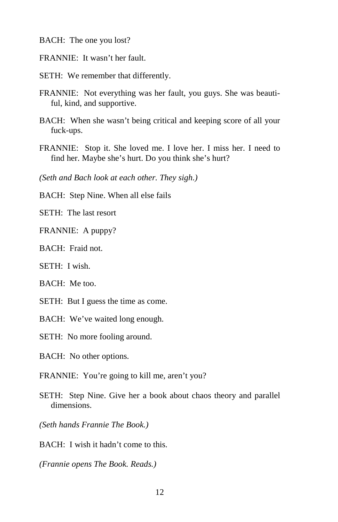BACH: The one you lost?

- FRANNIE: It wasn't her fault.
- SETH: We remember that differently.
- FRANNIE: Not everything was her fault, you guys. She was beautiful, kind, and supportive.
- BACH: When she wasn't being critical and keeping score of all your fuck-ups.
- FRANNIE: Stop it. She loved me. I love her. I miss her. I need to find her. Maybe she's hurt. Do you think she's hurt?

*(Seth and Bach look at each other. They sigh.)* 

BACH: Step Nine. When all else fails

SETH: The last resort

FRANNIE: A puppy?

BACH: Fraid not.

SETH: I wish.

BACH: Me too.

SETH: But I guess the time as come.

BACH: We've waited long enough.

SETH: No more fooling around.

BACH: No other options.

FRANNIE: You're going to kill me, aren't you?

SETH: Step Nine. Give her a book about chaos theory and parallel dimensions.

*(Seth hands Frannie The Book.)* 

BACH: I wish it hadn't come to this.

*(Frannie opens The Book. Reads.)*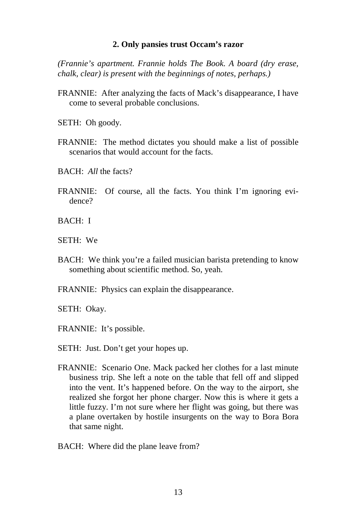#### **2. Only pansies trust Occam's razor**

*(Frannie's apartment. Frannie holds The Book. A board (dry erase, chalk, clear) is present with the beginnings of notes, perhaps.)* 

- FRANNIE: After analyzing the facts of Mack's disappearance, I have come to several probable conclusions.
- SETH: Oh goody.
- FRANNIE: The method dictates you should make a list of possible scenarios that would account for the facts.
- BACH: *All* the facts?
- FRANNIE: Of course, all the facts. You think I'm ignoring evidence?
- BACH: I
- SETH: We
- BACH: We think you're a failed musician barista pretending to know something about scientific method. So, yeah.
- FRANNIE: Physics can explain the disappearance.

SETH: Okay.

FRANNIE: It's possible.

- SETH: Just. Don't get your hopes up.
- FRANNIE: Scenario One. Mack packed her clothes for a last minute business trip. She left a note on the table that fell off and slipped into the vent. It's happened before. On the way to the airport, she realized she forgot her phone charger. Now this is where it gets a little fuzzy. I'm not sure where her flight was going, but there was a plane overtaken by hostile insurgents on the way to Bora Bora that same night.
- BACH: Where did the plane leave from?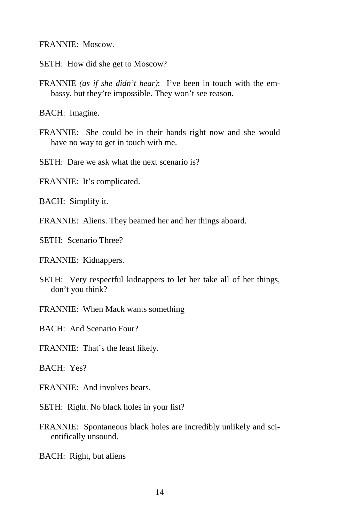FRANNIE: Moscow.

SETH: How did she get to Moscow?

FRANNIE *(as if she didn't hear)*: I've been in touch with the embassy, but they're impossible. They won't see reason.

BACH: Imagine.

FRANNIE: She could be in their hands right now and she would have no way to get in touch with me.

SETH: Dare we ask what the next scenario is?

FRANNIE: It's complicated.

BACH: Simplify it.

FRANNIE: Aliens. They beamed her and her things aboard.

SETH: Scenario Three?

FRANNIE: Kidnappers.

- SETH: Very respectful kidnappers to let her take all of her things, don't you think?
- FRANNIE: When Mack wants something

BACH: And Scenario Four?

FRANNIE: That's the least likely.

BACH: Yes?

FRANNIE: And involves bears.

SETH: Right. No black holes in your list?

- FRANNIE: Spontaneous black holes are incredibly unlikely and scientifically unsound.
- BACH: Right, but aliens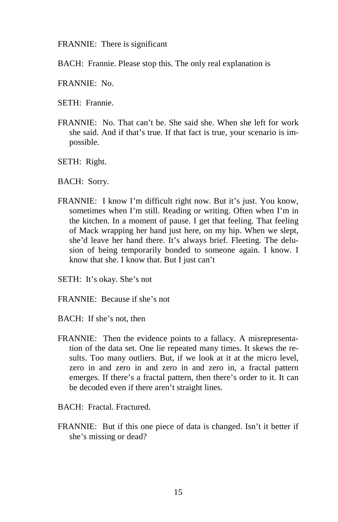FRANNIE: There is significant

- BACH: Frannie. Please stop this. The only real explanation is
- FRANNIE: No.
- SETH: Frannie.
- FRANNIE: No. That can't be. She said she. When she left for work she said. And if that's true. If that fact is true, your scenario is impossible.
- SETH: Right.
- BACH: Sorry.
- FRANNIE: I know I'm difficult right now. But it's just. You know, sometimes when I'm still. Reading or writing. Often when I'm in the kitchen. In a moment of pause. I get that feeling. That feeling of Mack wrapping her hand just here, on my hip. When we slept, she'd leave her hand there. It's always brief. Fleeting. The delusion of being temporarily bonded to someone again. I know. I know that she. I know that. But I just can't
- SETH: It's okay. She's not
- FRANNIE: Because if she's not
- BACH: If she's not, then
- FRANNIE: Then the evidence points to a fallacy. A misrepresentation of the data set. One lie repeated many times. It skews the results. Too many outliers. But, if we look at it at the micro level, zero in and zero in and zero in and zero in, a fractal pattern emerges. If there's a fractal pattern, then there's order to it. It can be decoded even if there aren't straight lines.
- BACH: Fractal. Fractured.
- FRANNIE: But if this one piece of data is changed. Isn't it better if she's missing or dead?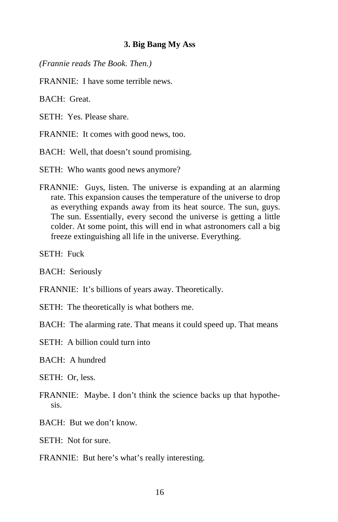#### **3. Big Bang My Ass**

*(Frannie reads The Book. Then.)* 

FRANNIE: I have some terrible news.

BACH: Great.

SETH: Yes. Please share.

FRANNIE: It comes with good news, too.

BACH: Well, that doesn't sound promising.

SETH: Who wants good news anymore?

FRANNIE: Guys, listen. The universe is expanding at an alarming rate. This expansion causes the temperature of the universe to drop as everything expands away from its heat source. The sun, guys. The sun. Essentially, every second the universe is getting a little colder. At some point, this will end in what astronomers call a big freeze extinguishing all life in the universe. Everything.

SETH: Fuck

BACH: Seriously

- FRANNIE: It's billions of years away. Theoretically.
- SETH: The theoretically is what bothers me.

BACH: The alarming rate. That means it could speed up. That means

SETH: A billion could turn into

BACH: A hundred

SETH: Or, less.

- FRANNIE: Maybe. I don't think the science backs up that hypothesis.
- BACH: But we don't know.

SETH: Not for sure.

FRANNIE: But here's what's really interesting.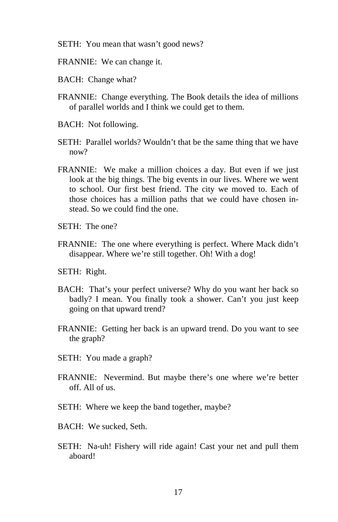- SETH: You mean that wasn't good news?
- FRANNIE: We can change it.
- BACH: Change what?
- FRANNIE: Change everything. The Book details the idea of millions of parallel worlds and I think we could get to them.
- BACH: Not following.
- SETH: Parallel worlds? Wouldn't that be the same thing that we have now?
- FRANNIE: We make a million choices a day. But even if we just look at the big things. The big events in our lives. Where we went to school. Our first best friend. The city we moved to. Each of those choices has a million paths that we could have chosen instead. So we could find the one.
- SETH: The one?
- FRANNIE: The one where everything is perfect. Where Mack didn't disappear. Where we're still together. Oh! With a dog!
- SETH: Right.
- BACH: That's your perfect universe? Why do you want her back so badly? I mean. You finally took a shower. Can't you just keep going on that upward trend?
- FRANNIE: Getting her back is an upward trend. Do you want to see the graph?
- SETH: You made a graph?
- FRANNIE: Nevermind. But maybe there's one where we're better off. All of us.
- SETH: Where we keep the band together, maybe?
- BACH: We sucked, Seth.
- SETH: Na-uh! Fishery will ride again! Cast your net and pull them aboard!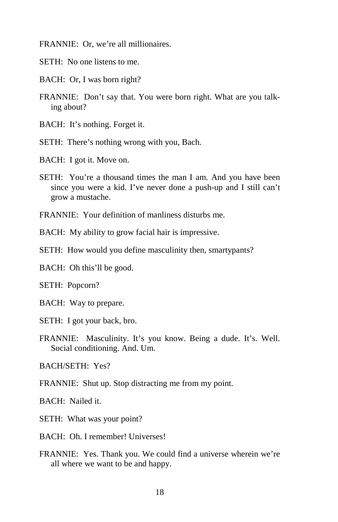FRANNIE: Or, we're all millionaires.

- SETH: No one listens to me.
- BACH: Or, I was born right?
- FRANNIE: Don't say that. You were born right. What are you talking about?
- BACH: It's nothing. Forget it.
- SETH: There's nothing wrong with you, Bach.
- BACH: I got it. Move on.
- SETH: You're a thousand times the man I am. And you have been since you were a kid. I've never done a push-up and I still can't grow a mustache.
- FRANNIE: Your definition of manliness disturbs me.

BACH: My ability to grow facial hair is impressive.

- SETH: How would you define masculinity then, smartypants?
- BACH: Oh this'll be good.
- SETH: Popcorn?
- BACH: Way to prepare.
- SETH: I got your back, bro.
- FRANNIE: Masculinity. It's you know. Being a dude. It's. Well. Social conditioning. And. Um.

BACH/SETH: Yes?

FRANNIE: Shut up. Stop distracting me from my point.

BACH: Nailed it.

- SETH: What was your point?
- BACH: Oh. I remember! Universes!
- FRANNIE: Yes. Thank you. We could find a universe wherein we're all where we want to be and happy.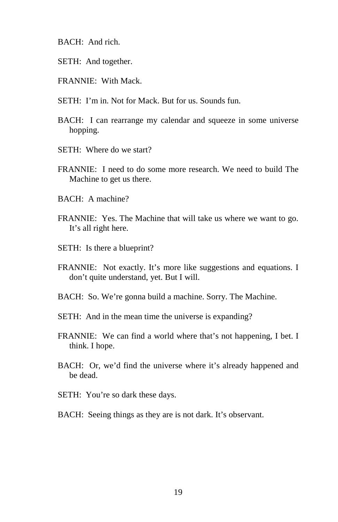- BACH: And rich.
- SETH: And together.
- FRANNIE: With Mack.
- SETH: I'm in. Not for Mack. But for us. Sounds fun.
- BACH: I can rearrange my calendar and squeeze in some universe hopping.
- SETH: Where do we start?
- FRANNIE: I need to do some more research. We need to build The Machine to get us there.
- BACH: A machine?
- FRANNIE: Yes. The Machine that will take us where we want to go. It's all right here.
- SETH: Is there a blueprint?
- FRANNIE: Not exactly. It's more like suggestions and equations. I don't quite understand, yet. But I will.
- BACH: So. We're gonna build a machine. Sorry. The Machine.
- SETH: And in the mean time the universe is expanding?
- FRANNIE: We can find a world where that's not happening, I bet. I think. I hope.
- BACH: Or, we'd find the universe where it's already happened and be dead.
- SETH: You're so dark these days.
- BACH: Seeing things as they are is not dark. It's observant.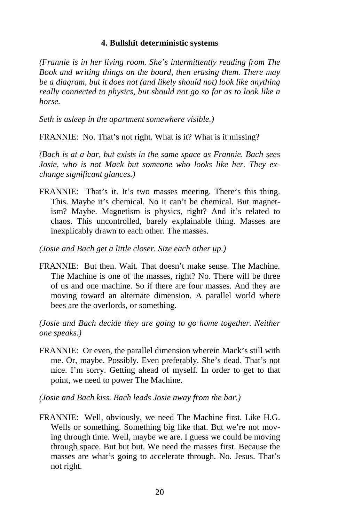#### **4. Bullshit deterministic systems**

*(Frannie is in her living room. She's intermittently reading from The Book and writing things on the board, then erasing them. There may be a diagram, but it does not (and likely should not) look like anything really connected to physics, but should not go so far as to look like a horse.* 

*Seth is asleep in the apartment somewhere visible.)*

FRANNIE: No. That's not right. What is it? What is it missing?

*(Bach is at a bar, but exists in the same space as Frannie. Bach sees Josie, who is not Mack but someone who looks like her. They exchange significant glances.)* 

FRANNIE: That's it. It's two masses meeting. There's this thing. This. Maybe it's chemical. No it can't be chemical. But magnetism? Maybe. Magnetism is physics, right? And it's related to chaos. This uncontrolled, barely explainable thing. Masses are inexplicably drawn to each other. The masses.

*(Josie and Bach get a little closer. Size each other up.)* 

FRANNIE: But then. Wait. That doesn't make sense. The Machine. The Machine is one of the masses, right? No. There will be three of us and one machine. So if there are four masses. And they are moving toward an alternate dimension. A parallel world where bees are the overlords, or something.

*(Josie and Bach decide they are going to go home together. Neither one speaks.)* 

FRANNIE: Or even, the parallel dimension wherein Mack's still with me. Or, maybe. Possibly. Even preferably. She's dead. That's not nice. I'm sorry. Getting ahead of myself. In order to get to that point, we need to power The Machine.

*(Josie and Bach kiss. Bach leads Josie away from the bar.)* 

FRANNIE: Well, obviously, we need The Machine first. Like H.G. Wells or something. Something big like that. But we're not moving through time. Well, maybe we are. I guess we could be moving through space. But but but. We need the masses first. Because the masses are what's going to accelerate through. No. Jesus. That's not right.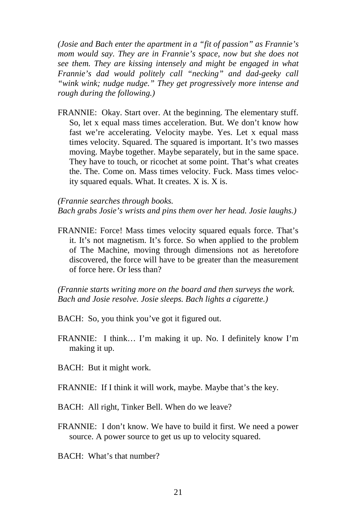*(Josie and Bach enter the apartment in a "fit of passion" as Frannie's mom would say. They are in Frannie's space, now but she does not see them. They are kissing intensely and might be engaged in what Frannie's dad would politely call "necking" and dad-geeky call "wink wink; nudge nudge." They get progressively more intense and rough during the following.)* 

FRANNIE: Okay. Start over. At the beginning. The elementary stuff. So, let x equal mass times acceleration. But. We don't know how fast we're accelerating. Velocity maybe. Yes. Let x equal mass times velocity. Squared. The squared is important. It's two masses moving. Maybe together. Maybe separately, but in the same space. They have to touch, or ricochet at some point. That's what creates the. The. Come on. Mass times velocity. Fuck. Mass times velocity squared equals. What. It creates. X is. X is.

#### *(Frannie searches through books.*

*Bach grabs Josie's wrists and pins them over her head. Josie laughs.)* 

FRANNIE: Force! Mass times velocity squared equals force. That's it. It's not magnetism. It's force. So when applied to the problem of The Machine, moving through dimensions not as heretofore discovered, the force will have to be greater than the measurement of force here. Or less than?

*(Frannie starts writing more on the board and then surveys the work. Bach and Josie resolve. Josie sleeps. Bach lights a cigarette.)* 

- BACH: So, you think you've got it figured out.
- FRANNIE: I think… I'm making it up. No. I definitely know I'm making it up.
- BACH: But it might work.
- FRANNIE: If I think it will work, maybe. Maybe that's the key.
- BACH: All right, Tinker Bell. When do we leave?
- FRANNIE: I don't know. We have to build it first. We need a power source. A power source to get us up to velocity squared.
- BACH: What's that number?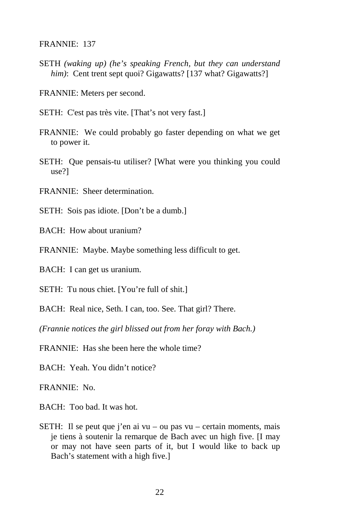FRANNIE: 137

SETH *(waking up) (he's speaking French, but they can understand him*): Cent trent sept quoi? Gigawatts? [137 what? Gigawatts?]

FRANNIE: Meters per second.

SETH: C'est pas très vite. [That's not very fast.]

- FRANNIE: We could probably go faster depending on what we get to power it.
- SETH: Que pensais-tu utiliser? [What were you thinking you could use?]
- FRANNIE: Sheer determination.
- SETH: Sois pas idiote. [Don't be a dumb.]
- BACH: How about uranium?

FRANNIE: Maybe. Maybe something less difficult to get.

BACH: I can get us uranium.

SETH: Tu nous chiet. [You're full of shit.]

BACH: Real nice, Seth. I can, too. See. That girl? There.

*(Frannie notices the girl blissed out from her foray with Bach.)* 

 $FRANNIE: Has she been here the whole time?$ 

BACH: Yeah. You didn't notice?

FRANNIE: No.

- BACH: Too bad. It was hot.
- SETH: Il se peut que j'en ai vu ou pas vu certain moments, mais je tiens à soutenir la remarque de Bach avec un high five. [I may or may not have seen parts of it, but I would like to back up Bach's statement with a high five.]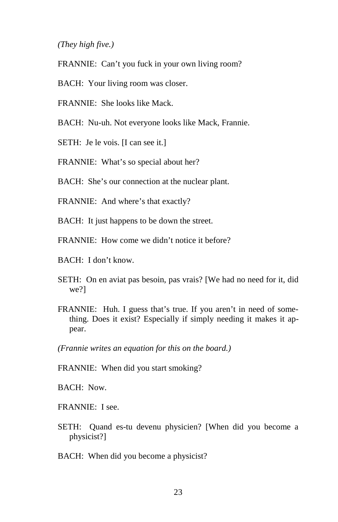#### *(They high five.)*

- FRANNIE: Can't you fuck in your own living room?
- BACH: Your living room was closer.
- FRANNIE: She looks like Mack.
- BACH: Nu-uh. Not everyone looks like Mack, Frannie.
- SETH: Je le vois. [I can see it.]
- FRANNIE: What's so special about her?
- BACH: She's our connection at the nuclear plant.
- FRANNIE: And where's that exactly?
- BACH: It just happens to be down the street.
- FRANNIE: How come we didn't notice it before?
- BACH: I don't know.
- SETH: On en aviat pas besoin, pas vrais? [We had no need for it, did we?]
- FRANNIE: Huh. I guess that's true. If you aren't in need of something. Does it exist? Especially if simply needing it makes it appear.
- *(Frannie writes an equation for this on the board.)*
- FRANNIE: When did you start smoking?

BACH: Now.

FRANNIE: I see.

- SETH: Quand es-tu devenu physicien? [When did you become a physicist?]
- BACH: When did you become a physicist?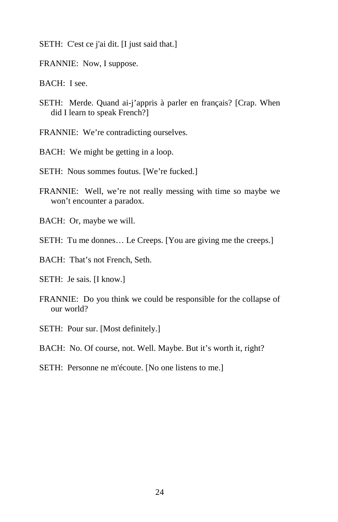- SETH: C'est ce j'ai dit. [I just said that.]
- FRANNIE: Now, I suppose.
- BACH: I see.
- SETH: Merde. Quand ai-j'appris à parler en français? [Crap. When did I learn to speak French?]
- FRANNIE: We're contradicting ourselves.
- BACH: We might be getting in a loop.
- SETH: Nous sommes foutus. [We're fucked.]
- FRANNIE: Well, we're not really messing with time so maybe we won't encounter a paradox.
- BACH: Or, maybe we will.
- SETH: Tu me donnes… Le Creeps. [You are giving me the creeps.]
- BACH: That's not French, Seth.
- SETH: Je sais. [I know.]
- FRANNIE: Do you think we could be responsible for the collapse of our world?
- SETH: Pour sur. [Most definitely.]

BACH: No. Of course, not. Well. Maybe. But it's worth it, right?

SETH: Personne ne m'écoute. [No one listens to me.]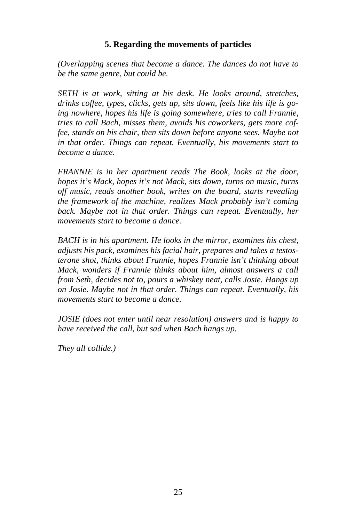#### **5. Regarding the movements of particles**

*(Overlapping scenes that become a dance. The dances do not have to be the same genre, but could be.* 

*SETH is at work, sitting at his desk. He looks around, stretches, drinks coffee, types, clicks, gets up, sits down, feels like his life is going nowhere, hopes his life is going somewhere, tries to call Frannie, tries to call Bach, misses them, avoids his coworkers, gets more coffee, stands on his chair, then sits down before anyone sees. Maybe not in that order. Things can repeat. Eventually, his movements start to become a dance.* 

*FRANNIE is in her apartment reads The Book, looks at the door, hopes it's Mack, hopes it's not Mack, sits down, turns on music, turns off music, reads another book, writes on the board, starts revealing the framework of the machine, realizes Mack probably isn't coming back. Maybe not in that order. Things can repeat. Eventually, her movements start to become a dance.* 

*BACH is in his apartment. He looks in the mirror, examines his chest, adjusts his pack, examines his facial hair, prepares and takes a testosterone shot, thinks about Frannie, hopes Frannie isn't thinking about Mack, wonders if Frannie thinks about him, almost answers a call from Seth, decides not to, pours a whiskey neat, calls Josie. Hangs up on Josie. Maybe not in that order. Things can repeat. Eventually, his movements start to become a dance.* 

*JOSIE (does not enter until near resolution) answers and is happy to have received the call, but sad when Bach hangs up.* 

*They all collide.)*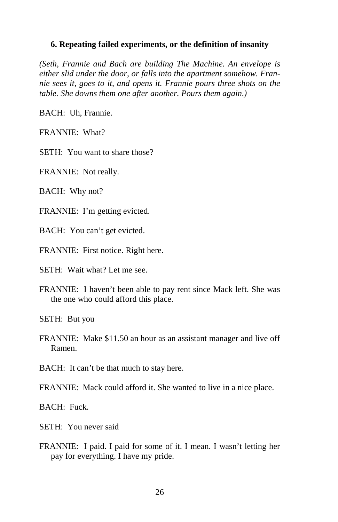#### **6. Repeating failed experiments, or the definition of insanity**

*(Seth, Frannie and Bach are building The Machine. An envelope is either slid under the door, or falls into the apartment somehow. Frannie sees it, goes to it, and opens it. Frannie pours three shots on the table. She downs them one after another. Pours them again.)* 

BACH: Uh, Frannie.

FRANNIE: What?

SETH: You want to share those?

FRANNIE: Not really.

BACH: Why not?

FRANNIE: I'm getting evicted.

BACH: You can't get evicted.

FRANNIE: First notice. Right here.

SETH: Wait what? Let me see.

FRANNIE: I haven't been able to pay rent since Mack left. She was the one who could afford this place.

SETH: But you

FRANNIE: Make \$11.50 an hour as an assistant manager and live off Ramen.

BACH: It can't be that much to stay here.

FRANNIE: Mack could afford it. She wanted to live in a nice place.

BACH: Fuck.

SETH: You never said

FRANNIE: I paid. I paid for some of it. I mean. I wasn't letting her pay for everything. I have my pride.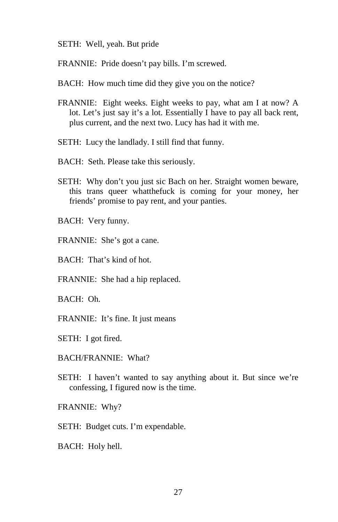- SETH: Well, yeah. But pride
- FRANNIE: Pride doesn't pay bills. I'm screwed.
- BACH: How much time did they give you on the notice?
- FRANNIE: Eight weeks. Eight weeks to pay, what am I at now? A lot. Let's just say it's a lot. Essentially I have to pay all back rent, plus current, and the next two. Lucy has had it with me.
- SETH: Lucy the landlady. I still find that funny.
- BACH: Seth. Please take this seriously.
- SETH: Why don't you just sic Bach on her. Straight women beware, this trans queer whatthefuck is coming for your money, her friends' promise to pay rent, and your panties.
- BACH: Very funny.
- FRANNIE: She's got a cane.
- BACH: That's kind of hot.
- FRANNIE: She had a hip replaced.
- BACH: Oh.
- FRANNIE: It's fine. It just means
- SETH: I got fired.
- BACH/FRANNIE: What?
- SETH: I haven't wanted to say anything about it. But since we're confessing, I figured now is the time.
- FRANNIE: Why?
- SETH: Budget cuts. I'm expendable.
- BACH: Holy hell.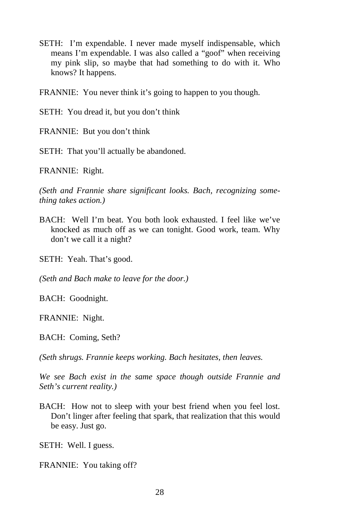SETH: I'm expendable. I never made myself indispensable, which means I'm expendable. I was also called a "goof" when receiving my pink slip, so maybe that had something to do with it. Who knows? It happens.

FRANNIE: You never think it's going to happen to you though.

SETH: You dread it, but you don't think

FRANNIE: But you don't think

SETH: That you'll actually be abandoned.

FRANNIE: Right.

*(Seth and Frannie share significant looks. Bach, recognizing something takes action.)* 

- BACH: Well I'm beat. You both look exhausted. I feel like we've knocked as much off as we can tonight. Good work, team. Why don't we call it a night?
- SETH: Yeah. That's good.

*(Seth and Bach make to leave for the door.)* 

BACH: Goodnight.

FRANNIE: Night.

BACH: Coming, Seth?

*(Seth shrugs. Frannie keeps working. Bach hesitates, then leaves.* 

*We see Bach exist in the same space though outside Frannie and Seth's current reality.)* 

BACH: How not to sleep with your best friend when you feel lost. Don't linger after feeling that spark, that realization that this would be easy. Just go.

SETH: Well. I guess.

FRANNIE: You taking off?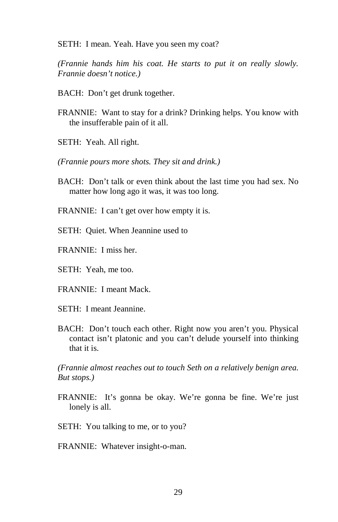SETH: I mean. Yeah. Have you seen my coat?

*(Frannie hands him his coat. He starts to put it on really slowly. Frannie doesn't notice.)* 

- BACH: Don't get drunk together.
- FRANNIE: Want to stay for a drink? Drinking helps. You know with the insufferable pain of it all.
- SETH: Yeah. All right.
- *(Frannie pours more shots. They sit and drink.)*
- BACH: Don't talk or even think about the last time you had sex. No matter how long ago it was, it was too long.
- FRANNIE: I can't get over how empty it is.
- SETH: Quiet. When Jeannine used to
- FRANNIE: I miss her.
- SETH: Yeah, me too.
- FRANNIE: I meant Mack.
- SETH: I meant Jeannine.
- BACH: Don't touch each other. Right now you aren't you. Physical contact isn't platonic and you can't delude yourself into thinking that it is.

*(Frannie almost reaches out to touch Seth on a relatively benign area. But stops.)* 

- FRANNIE: It's gonna be okay. We're gonna be fine. We're just lonely is all.
- SETH: You talking to me, or to you?
- FRANNIE: Whatever insight-o-man.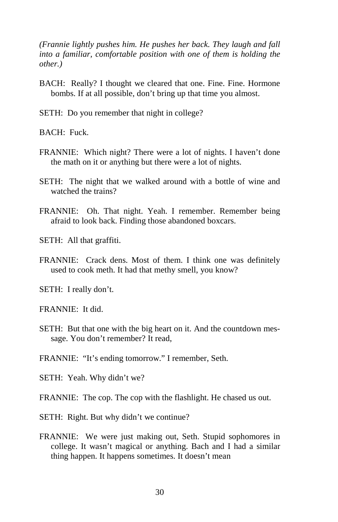*(Frannie lightly pushes him. He pushes her back. They laugh and fall into a familiar, comfortable position with one of them is holding the other.)* 

- BACH: Really? I thought we cleared that one. Fine. Fine. Hormone bombs. If at all possible, don't bring up that time you almost.
- SETH: Do you remember that night in college?

BACH: Fuck.

- FRANNIE: Which night? There were a lot of nights. I haven't done the math on it or anything but there were a lot of nights.
- SETH: The night that we walked around with a bottle of wine and watched the trains?
- FRANNIE: Oh. That night. Yeah. I remember. Remember being afraid to look back. Finding those abandoned boxcars.

SETH: All that graffiti.

FRANNIE: Crack dens. Most of them. I think one was definitely used to cook meth. It had that methy smell, you know?

SETH: I really don't.

FRANNIE: It did.

- SETH: But that one with the big heart on it. And the countdown message. You don't remember? It read,
- FRANNIE: "It's ending tomorrow." I remember, Seth.
- SETH: Yeah. Why didn't we?
- FRANNIE: The cop. The cop with the flashlight. He chased us out.
- SETH: Right. But why didn't we continue?
- FRANNIE: We were just making out, Seth. Stupid sophomores in college. It wasn't magical or anything. Bach and I had a similar thing happen. It happens sometimes. It doesn't mean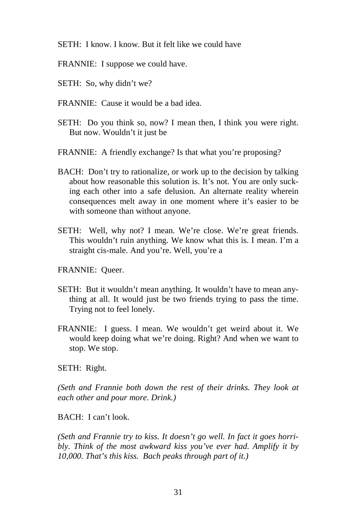- SETH: I know. I know. But it felt like we could have
- FRANNIE: I suppose we could have.
- SETH: So, why didn't we?
- FRANNIE: Cause it would be a bad idea.
- SETH: Do you think so, now? I mean then, I think you were right. But now. Wouldn't it just be
- FRANNIE: A friendly exchange? Is that what you're proposing?
- BACH: Don't try to rationalize, or work up to the decision by talking about how reasonable this solution is. It's not. You are only sucking each other into a safe delusion. An alternate reality wherein consequences melt away in one moment where it's easier to be with someone than without anyone.
- SETH: Well, why not? I mean. We're close. We're great friends. This wouldn't ruin anything. We know what this is. I mean. I'm a straight cis-male. And you're. Well, you're a

FRANNIE: Queer.

- SETH: But it wouldn't mean anything. It wouldn't have to mean anything at all. It would just be two friends trying to pass the time. Trying not to feel lonely.
- FRANNIE: I guess. I mean. We wouldn't get weird about it. We would keep doing what we're doing. Right? And when we want to stop. We stop.

SETH: Right.

*(Seth and Frannie both down the rest of their drinks. They look at each other and pour more. Drink.)* 

BACH: I can't look.

*(Seth and Frannie try to kiss. It doesn't go well. In fact it goes horribly. Think of the most awkward kiss you've ever had. Amplify it by 10,000. That's this kiss. Bach peaks through part of it.)*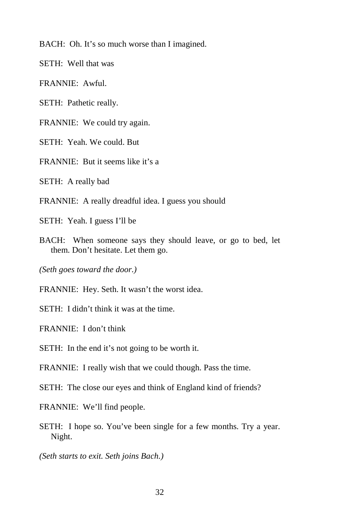BACH: Oh. It's so much worse than I imagined.

SETH: Well that was

FRANNIE: Awful.

SETH: Pathetic really.

FRANNIE: We could try again.

SETH: Yeah. We could. But

FRANNIE: But it seems like it's a

SETH: A really bad

FRANNIE: A really dreadful idea. I guess you should

SETH: Yeah. I guess I'll be

BACH: When someone says they should leave, or go to bed, let them. Don't hesitate. Let them go.

*(Seth goes toward the door.)* 

FRANNIE: Hey. Seth. It wasn't the worst idea.

SETH: I didn't think it was at the time.

FRANNIE: I don't think

SETH: In the end it's not going to be worth it.

FRANNIE: I really wish that we could though. Pass the time.

SETH: The close our eyes and think of England kind of friends?

FRANNIE: We'll find people.

SETH: I hope so. You've been single for a few months. Try a year. Night.

*(Seth starts to exit. Seth joins Bach.)*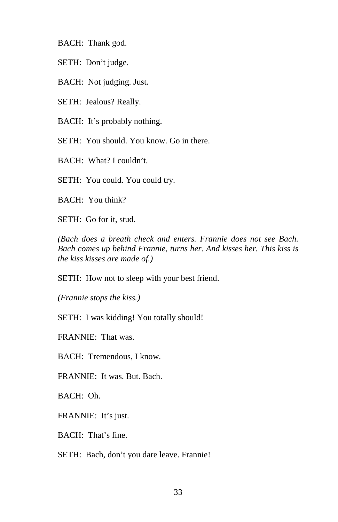BACH: Thank god.

SETH: Don't judge.

BACH: Not judging. Just.

SETH: Jealous? Really.

BACH: It's probably nothing.

SETH: You should. You know. Go in there.

BACH: What? I couldn't.

SETH: You could. You could try.

BACH: You think?

SETH: Go for it, stud.

*(Bach does a breath check and enters. Frannie does not see Bach. Bach comes up behind Frannie, turns her. And kisses her. This kiss is the kiss kisses are made of.)* 

SETH: How not to sleep with your best friend.

*(Frannie stops the kiss.)* 

SETH: I was kidding! You totally should!

FRANNIE: That was.

BACH: Tremendous, I know.

FRANNIE: It was. But. Bach.

BACH: Oh.

FRANNIE: It's just.

BACH: That's fine.

SETH: Bach, don't you dare leave. Frannie!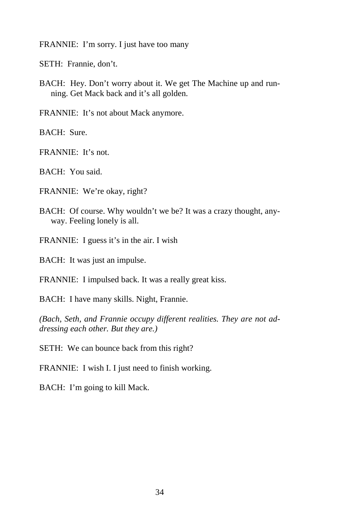FRANNIE: I'm sorry. I just have too many

SETH: Frannie, don't.

BACH: Hey. Don't worry about it. We get The Machine up and running. Get Mack back and it's all golden.

FRANNIE: It's not about Mack anymore.

BACH: Sure.

FRANNIE: It's not.

BACH: You said.

FRANNIE: We're okay, right?

- BACH: Of course. Why wouldn't we be? It was a crazy thought, anyway. Feeling lonely is all.
- FRANNIE: I guess it's in the air. I wish

BACH: It was just an impulse.

FRANNIE: I impulsed back. It was a really great kiss.

BACH: I have many skills. Night, Frannie.

*(Bach, Seth, and Frannie occupy different realities. They are not addressing each other. But they are.)* 

SETH: We can bounce back from this right?

FRANNIE: I wish I. I just need to finish working.

BACH: I'm going to kill Mack.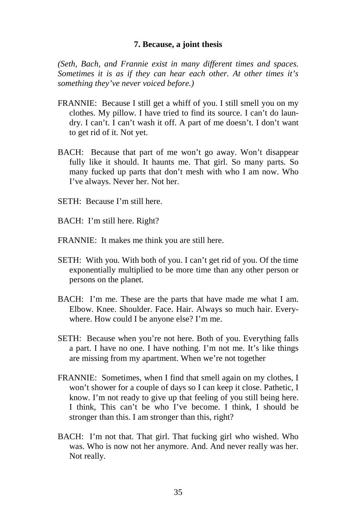#### **7. Because, a joint thesis**

*(Seth, Bach, and Frannie exist in many different times and spaces. Sometimes it is as if they can hear each other. At other times it's something they've never voiced before.)* 

- FRANNIE: Because I still get a whiff of you. I still smell you on my clothes. My pillow. I have tried to find its source. I can't do laundry. I can't. I can't wash it off. A part of me doesn't. I don't want to get rid of it. Not yet.
- BACH: Because that part of me won't go away. Won't disappear fully like it should. It haunts me. That girl. So many parts. So many fucked up parts that don't mesh with who I am now. Who I've always. Never her. Not her.
- SETH: Because I'm still here.
- BACH: I'm still here. Right?
- FRANNIE: It makes me think you are still here.
- SETH: With you. With both of you. I can't get rid of you. Of the time exponentially multiplied to be more time than any other person or persons on the planet.
- BACH: I'm me. These are the parts that have made me what I am. Elbow. Knee. Shoulder. Face. Hair. Always so much hair. Everywhere. How could I be anyone else? I'm me.
- SETH: Because when you're not here. Both of you. Everything falls a part. I have no one. I have nothing. I'm not me. It's like things are missing from my apartment. When we're not together
- FRANNIE: Sometimes, when I find that smell again on my clothes, I won't shower for a couple of days so I can keep it close. Pathetic, I know. I'm not ready to give up that feeling of you still being here. I think, This can't be who I've become. I think, I should be stronger than this. I am stronger than this, right?
- BACH: I'm not that. That girl. That fucking girl who wished. Who was. Who is now not her anymore. And. And never really was her. Not really.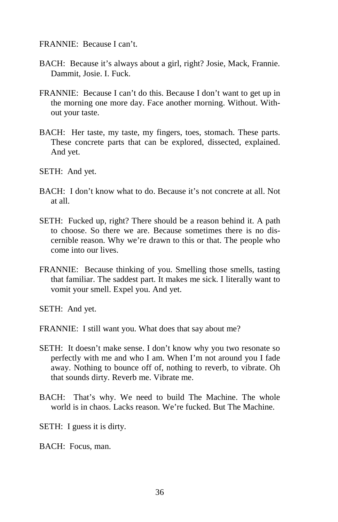FRANNIE: Because I can't.

- BACH: Because it's always about a girl, right? Josie, Mack, Frannie. Dammit, Josie. I. Fuck.
- FRANNIE: Because I can't do this. Because I don't want to get up in the morning one more day. Face another morning. Without. Without your taste.
- BACH: Her taste, my taste, my fingers, toes, stomach. These parts. These concrete parts that can be explored, dissected, explained. And yet.
- SETH: And yet.
- BACH: I don't know what to do. Because it's not concrete at all. Not at all.
- SETH: Fucked up, right? There should be a reason behind it. A path to choose. So there we are. Because sometimes there is no discernible reason. Why we're drawn to this or that. The people who come into our lives.
- FRANNIE: Because thinking of you. Smelling those smells, tasting that familiar. The saddest part. It makes me sick. I literally want to vomit your smell. Expel you. And yet.
- SETH: And yet.
- FRANNIE: I still want you. What does that say about me?
- SETH: It doesn't make sense. I don't know why you two resonate so perfectly with me and who I am. When I'm not around you I fade away. Nothing to bounce off of, nothing to reverb, to vibrate. Oh that sounds dirty. Reverb me. Vibrate me.
- BACH: That's why. We need to build The Machine. The whole world is in chaos. Lacks reason. We're fucked. But The Machine.
- SETH: I guess it is dirty.
- BACH: Focus, man.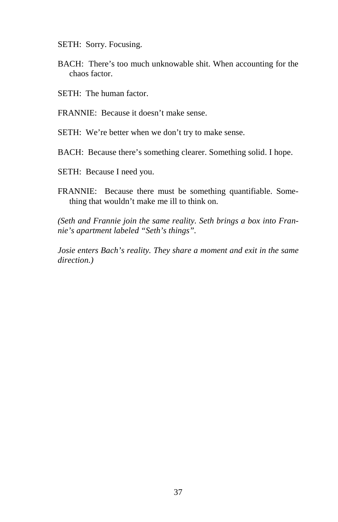SETH: Sorry. Focusing.

- BACH: There's too much unknowable shit. When accounting for the chaos factor.
- SETH: The human factor.
- FRANNIE: Because it doesn't make sense.
- SETH: We're better when we don't try to make sense.
- BACH: Because there's something clearer. Something solid. I hope.
- SETH: Because I need you.
- FRANNIE: Because there must be something quantifiable. Something that wouldn't make me ill to think on.

*(Seth and Frannie join the same reality. Seth brings a box into Frannie's apartment labeled "Seth's things".* 

*Josie enters Bach's reality. They share a moment and exit in the same direction.)*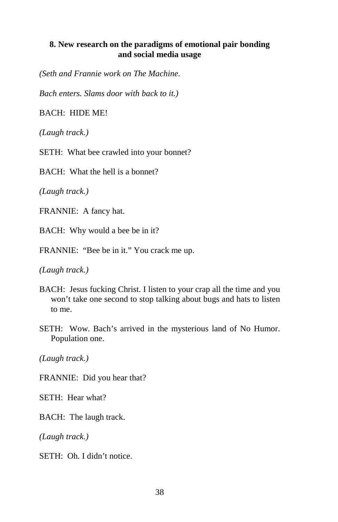#### **8. New research on the paradigms of emotional pair bonding and social media usage**

*(Seth and Frannie work on The Machine.* 

*Bach enters. Slams door with back to it.)* 

BACH: HIDE ME!

*(Laugh track.)* 

SETH: What bee crawled into your bonnet?

BACH: What the hell is a bonnet?

*(Laugh track.)* 

FRANNIE: A fancy hat.

BACH: Why would a bee be in it?

FRANNIE: "Bee be in it." You crack me up.

*(Laugh track.)* 

- BACH: Jesus fucking Christ. I listen to your crap all the time and you won't take one second to stop talking about bugs and hats to listen to me.
- SETH: Wow. Bach's arrived in the mysterious land of No Humor. Population one.

*(Laugh track.)* 

FRANNIE: Did you hear that?

SETH: Hear what?

BACH: The laugh track.

*(Laugh track.)* 

SETH: Oh. I didn't notice.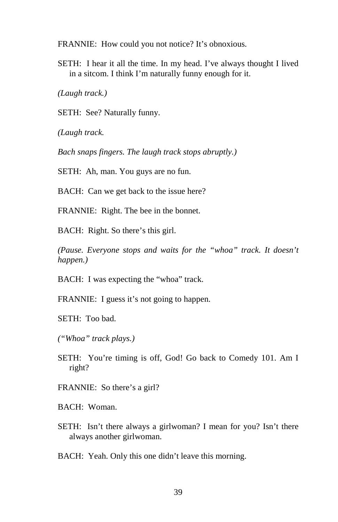FRANNIE: How could you not notice? It's obnoxious.

SETH: I hear it all the time. In my head. I've always thought I lived in a sitcom. I think I'm naturally funny enough for it.

*(Laugh track.)* 

SETH: See? Naturally funny.

*(Laugh track.* 

*Bach snaps fingers. The laugh track stops abruptly.)* 

SETH: Ah, man. You guys are no fun.

BACH: Can we get back to the issue here?

FRANNIE: Right. The bee in the bonnet.

BACH: Right. So there's this girl.

*(Pause. Everyone stops and waits for the "whoa" track. It doesn't happen.)* 

BACH: I was expecting the "whoa" track.

FRANNIE: I guess it's not going to happen.

SETH: Too bad.

*("Whoa" track plays.)* 

SETH: You're timing is off, God! Go back to Comedy 101. Am I right?

FRANNIE: So there's a girl?

BACH: Woman.

SETH: Isn't there always a girlwoman? I mean for you? Isn't there always another girlwoman.

BACH: Yeah. Only this one didn't leave this morning.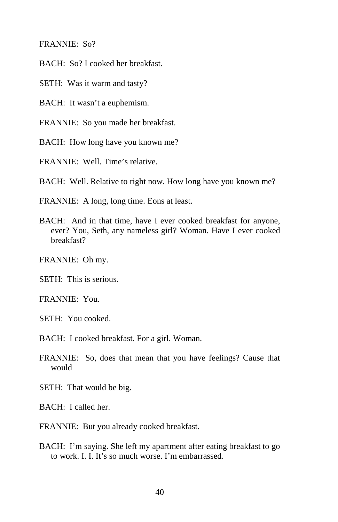FRANNIE: So?

BACH: So? I cooked her breakfast.

SETH: Was it warm and tasty?

BACH: It wasn't a euphemism.

FRANNIE: So you made her breakfast.

BACH: How long have you known me?

FRANNIE: Well. Time's relative.

BACH: Well. Relative to right now. How long have you known me?

FRANNIE: A long, long time. Eons at least.

BACH: And in that time, have I ever cooked breakfast for anyone, ever? You, Seth, any nameless girl? Woman. Have I ever cooked breakfast?

FRANNIE: Oh my.

SETH: This is serious.

FRANNIE: You.

SETH: You cooked.

BACH: I cooked breakfast. For a girl. Woman.

FRANNIE: So, does that mean that you have feelings? Cause that would

SETH: That would be big.

BACH: I called her.

FRANNIE: But you already cooked breakfast.

BACH: I'm saying. She left my apartment after eating breakfast to go to work. I. I. It's so much worse. I'm embarrassed.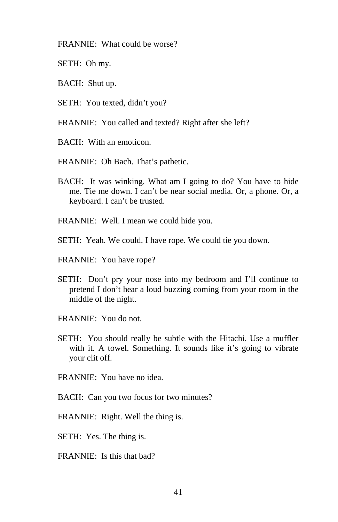FRANNIE: What could be worse?

- SETH: Oh my.
- BACH: Shut up.
- SETH: You texted, didn't you?
- FRANNIE: You called and texted? Right after she left?
- BACH: With an emoticon.
- FRANNIE: Oh Bach. That's pathetic.
- BACH: It was winking. What am I going to do? You have to hide me. Tie me down. I can't be near social media. Or, a phone. Or, a keyboard. I can't be trusted.
- FRANNIE: Well. I mean we could hide you.
- SETH: Yeah. We could. I have rope. We could tie you down.
- FRANNIE: You have rope?
- SETH: Don't pry your nose into my bedroom and I'll continue to pretend I don't hear a loud buzzing coming from your room in the middle of the night.
- FRANNIE: You do not.
- SETH: You should really be subtle with the Hitachi. Use a muffler with it. A towel. Something. It sounds like it's going to vibrate your clit off.
- FRANNIE: You have no idea.
- BACH: Can you two focus for two minutes?
- FRANNIE: Right. Well the thing is.
- SETH: Yes. The thing is.
- FRANNIE: Is this that bad?